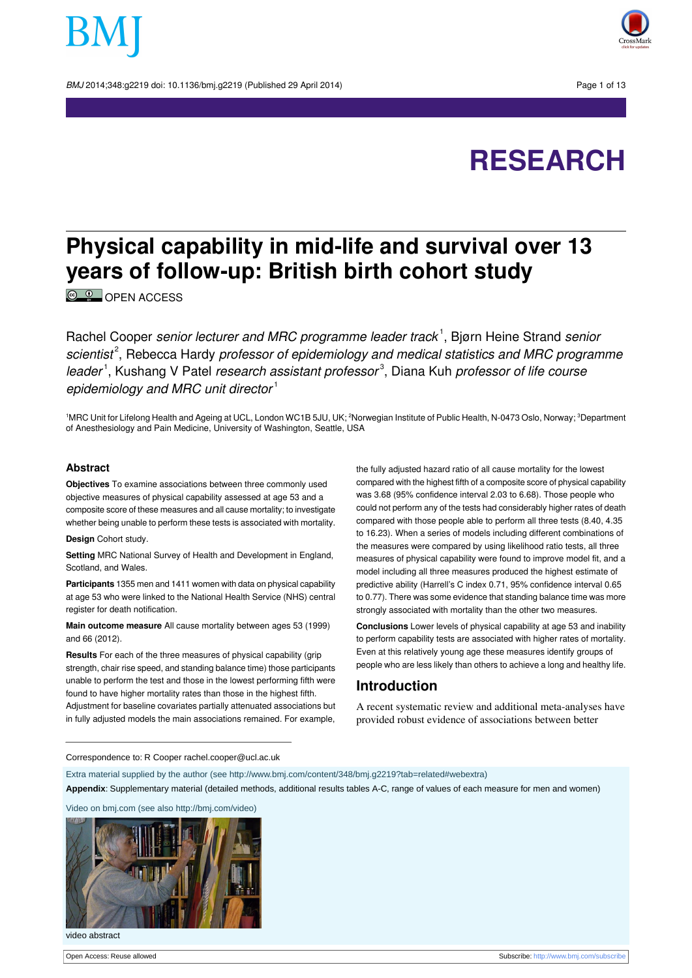BMJ 2014:348:a2219 doi: 10.1136/bmi.a2219 (Published 29 April 2014) Page 1 of 13





# **Physical capability in mid-life and survival over 13 years of follow-up: British birth cohort study**

<sup>©</sup> <sup>0</sup> OPEN [ACCESS](http://creativecommons.org/licenses/by/3.0/)

Rachel Cooper senior lecturer and MRC programme leader track<sup>1</sup>, Bjørn Heine Strand senior scientist<sup>2</sup>, Rebecca Hardy professor of epidemiology and medical statistics and MRC programme leader<sup>1</sup>, Kushang V Patel research assistant professor<sup>3</sup>, Diana Kuh professor of life course epidemiology and MRC unit director $1$ 

<sup>1</sup>MRC Unit for Lifelong Health and Ageing at UCL, London WC1B 5JU, UK; <sup>2</sup>Norwegian Institute of Public Health, N-0473 Oslo, Norway; <sup>3</sup>Department of Anesthesiology and Pain Medicine, University of Washington, Seattle, USA

#### **Abstract**

**Objectives** To examine associations between three commonly used objective measures of physical capability assessed at age 53 and a composite score of these measures and all cause mortality; to investigate whether being unable to perform these tests is associated with mortality.

**Design** Cohort study.

**Setting** MRC National Survey of Health and Development in England, Scotland, and Wales.

**Participants** 1355 men and 1411 women with data on physical capability at age 53 who were linked to the National Health Service (NHS) central register for death notification.

**Main outcome measure** All cause mortality between ages 53 (1999) and 66 (2012).

**Results** For each of the three measures of physical capability (grip strength, chair rise speed, and standing balance time) those participants unable to perform the test and those in the lowest performing fifth were found to have higher mortality rates than those in the highest fifth. Adjustment for baseline covariates partially attenuated associations but in fully adjusted models the main associations remained. For example,

the fully adjusted hazard ratio of all cause mortality for the lowest compared with the highest fifth of a composite score of physical capability was 3.68 (95% confidence interval 2.03 to 6.68). Those people who could not perform any of the tests had considerably higher rates of death compared with those people able to perform all three tests (8.40, 4.35 to 16.23). When a series of models including different combinations of the measures were compared by using likelihood ratio tests, all three measures of physical capability were found to improve model fit, and a model including all three measures produced the highest estimate of predictive ability (Harrell's C index 0.71, 95% confidence interval 0.65 to 0.77). There was some evidence that standing balance time was more strongly associated with mortality than the other two measures.

**Conclusions** Lower levels of physical capability at age 53 and inability to perform capability tests are associated with higher rates of mortality. Even at this relatively young age these measures identify groups of people who are less likely than others to achieve a long and healthy life.

## **Introduction**

A recent systematic review and additional meta-analyses have provided robust evidence of associations between better

Correspondence to: R Cooper rachel.cooper@ucl.ac.uk

Extra material supplied by the author (see [http://www.bmj.com/content/348/bmj.g2219?tab=related#webextra\)](http://www.bmj.com/content/348/bmj.g2219?tab=related#webextra)

**Appendix**: Supplementary material (detailed methods, additional results tables A-C, range of values of each measure for men and women)

Video on bmj.com (see also<http://bmj.com/video>)



video abstract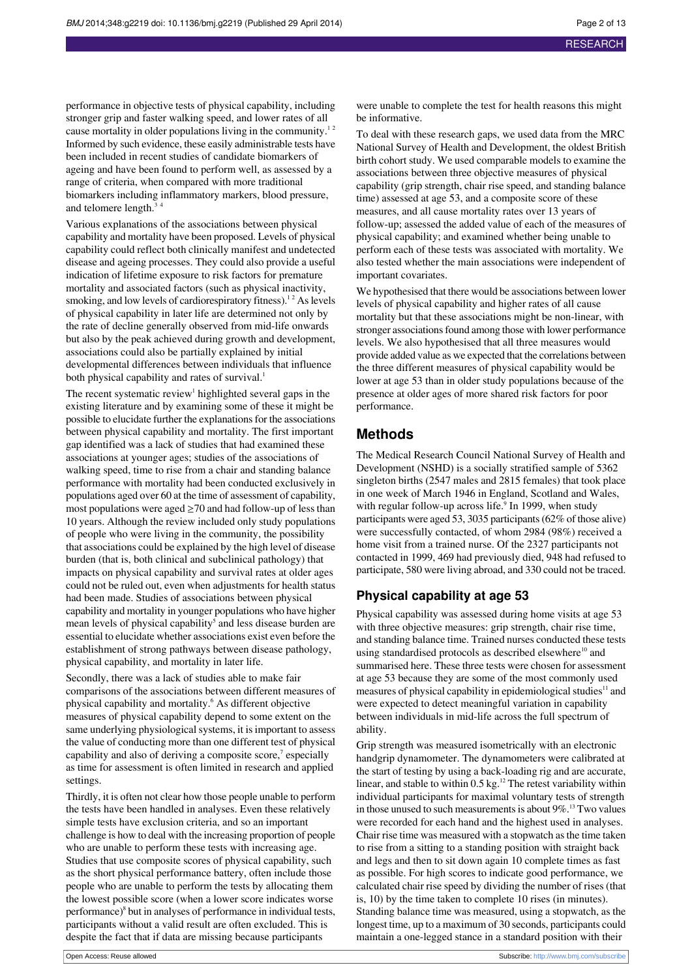performance in objective tests of physical capability, including stronger grip and faster walking speed, and lower rates of all cause mortality in older populations living in the community.<sup>12</sup> Informed by such evidence, these easily administrable tests have been included in recent studies of candidate biomarkers of ageing and have been found to perform well, as assessed by a range of criteria, when compared with more traditional biomarkers including inflammatory markers, blood pressure, and telomere length.<sup>3</sup>

Various explanations of the associations between physical capability and mortality have been proposed. Levels of physical capability could reflect both clinically manifest and undetected disease and ageing processes. They could also provide a useful indication of lifetime exposure to risk factors for premature mortality and associated factors (such as physical inactivity, smoking, and low levels of cardiorespiratory fitness).<sup>12</sup> As levels of physical capability in later life are determined not only by the rate of decline generally observed from mid-life onwards but also by the peak achieved during growth and development, associations could also be partially explained by initial developmental differences between individuals that influence both physical capability and rates of survival.<sup>1</sup>

The recent systematic review<sup>1</sup> highlighted several gaps in the existing literature and by examining some of these it might be possible to elucidate further the explanations for the associations between physical capability and mortality. The first important gap identified was a lack of studies that had examined these associations at younger ages; studies of the associations of walking speed, time to rise from a chair and standing balance performance with mortality had been conducted exclusively in populations aged over 60 at the time of assessment of capability, most populations were aged  $\geq$  70 and had follow-up of less than 10 years. Although the review included only study populations of people who were living in the community, the possibility that associations could be explained by the high level of disease burden (that is, both clinical and subclinical pathology) that impacts on physical capability and survival rates at older ages could not be ruled out, even when adjustments for health status had been made. Studies of associations between physical capability and mortality in younger populations who have higher mean levels of physical capability<sup>5</sup> and less disease burden are essential to elucidate whether associations exist even before the establishment of strong pathways between disease pathology, physical capability, and mortality in later life.

Secondly, there was a lack of studies able to make fair comparisons of the associations between different measures of physical capability and mortality.<sup>6</sup> As different objective measures of physical capability depend to some extent on the same underlying physiological systems, it is important to assess the value of conducting more than one different test of physical capability and also of deriving a composite score,<sup>7</sup> especially as time for assessment is often limited in research and applied settings.

Thirdly, it is often not clear how those people unable to perform the tests have been handled in analyses. Even these relatively simple tests have exclusion criteria, and so an important challenge is how to deal with the increasing proportion of people who are unable to perform these tests with increasing age. Studies that use composite scores of physical capability, such as the short physical performance battery, often include those people who are unable to perform the tests by allocating them the lowest possible score (when a lower score indicates worse performance)<sup>8</sup> but in analyses of performance in individual tests, participants without a valid result are often excluded. This is despite the fact that if data are missing because participants

were unable to complete the test for health reasons this might be informative.

To deal with these research gaps, we used data from the MRC National Survey of Health and Development, the oldest British birth cohort study. We used comparable models to examine the associations between three objective measures of physical capability (grip strength, chair rise speed, and standing balance time) assessed at age 53, and a composite score of these measures, and all cause mortality rates over 13 years of follow-up; assessed the added value of each of the measures of physical capability; and examined whether being unable to perform each of these tests was associated with mortality. We also tested whether the main associations were independent of important covariates.

We hypothesised that there would be associations between lower levels of physical capability and higher rates of all cause mortality but that these associations might be non-linear, with stronger associations found among those with lower performance levels. We also hypothesised that all three measures would provide added value as we expected that the correlations between the three different measures of physical capability would be lower at age 53 than in older study populations because of the presence at older ages of more shared risk factors for poor performance.

## **Methods**

The Medical Research Council National Survey of Health and Development (NSHD) is a socially stratified sample of 5362 singleton births (2547 males and 2815 females) that took place in one week of March 1946 in England, Scotland and Wales, with regular follow-up across life.<sup>9</sup> In 1999, when study participants were aged 53, 3035 participants(62% of those alive) were successfully contacted, of whom 2984 (98%) received a home visit from a trained nurse. Of the 2327 participants not contacted in 1999, 469 had previously died, 948 had refused to participate, 580 were living abroad, and 330 could not be traced.

## **Physical capability at age 53**

Physical capability was assessed during home visits at age 53 with three objective measures: grip strength, chair rise time, and standing balance time. Trained nurses conducted these tests using standardised protocols as described elsewhere<sup>10</sup> and summarised here. These three tests were chosen for assessment at age 53 because they are some of the most commonly used measures of physical capability in epidemiological studies<sup>11</sup> and were expected to detect meaningful variation in capability between individuals in mid-life across the full spectrum of ability.

Grip strength was measured isometrically with an electronic handgrip dynamometer. The dynamometers were calibrated at the start of testing by using a back-loading rig and are accurate, linear, and stable to within 0.5 kg.<sup>12</sup> The retest variability within individual participants for maximal voluntary tests of strength in those unused to such measurements is about  $9\%$ .<sup>13</sup> Two values were recorded for each hand and the highest used in analyses. Chair rise time was measured with a stopwatch as the time taken to rise from a sitting to a standing position with straight back and legs and then to sit down again 10 complete times as fast as possible. For high scores to indicate good performance, we calculated chair rise speed by dividing the number of rises (that is, 10) by the time taken to complete 10 rises (in minutes). Standing balance time was measured, using a stopwatch, as the longest time, up to a maximum of 30 seconds, participants could maintain a one-legged stance in a standard position with their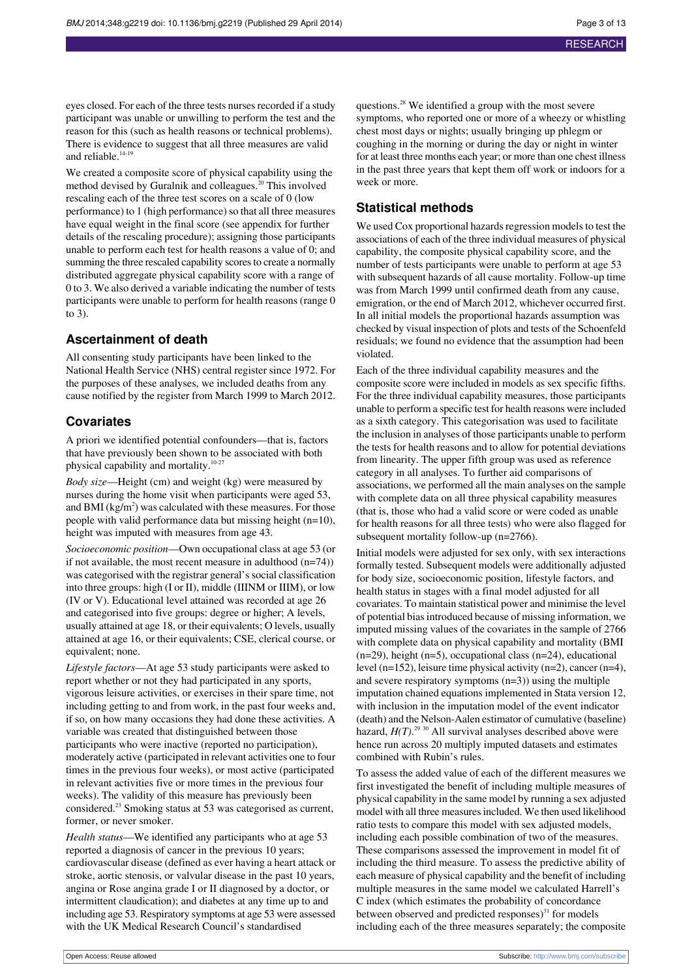eyes closed. For each of the three tests nurses recorded if a study participant was unable or unwilling to perform the test and the reason for this (such as health reasons or technical problems). There is evidence to suggest that all three measures are valid and reliable.<sup>14-19</sup>

We created a composite score of physical capability using the method devised by Guralnik and colleagues.<sup>20</sup> This involved rescaling each of the three test scores on a scale of 0 (low performance) to 1 (high performance) so that all three measures have equal weight in the final score (see appendix for further details of the rescaling procedure); assigning those participants unable to perform each test for health reasons a value of 0; and summing the three rescaled capability scores to create a normally distributed aggregate physical capability score with a range of 0 to 3. We also derived a variable indicating the number of tests participants were unable to perform for health reasons (range 0 to 3).

#### **Ascertainment of death**

All consenting study participants have been linked to the National Health Service (NHS) central register since 1972. For the purposes of these analyses, we included deaths from any cause notified by the register from March 1999 to March 2012.

#### **Covariates**

A priori we identified potential confounders—that is, factors that have previously been shown to be associated with both physical capability and mortality.10-27

*Body size*—Height (cm) and weight (kg) were measured by nurses during the home visit when participants were aged 53, and BMI (kg/m $^2$ ) was calculated with these measures. For those people with valid performance data but missing height (n=10), height was imputed with measures from age 43.

*Socioeconomic position*—Own occupational class at age 53 (or if not available, the most recent measure in adulthood (n=74)) was categorised with the registrar general's social classification into three groups: high (I or II), middle (IIINM or IIIM), or low (IV or V). Educational level attained was recorded at age 26 and categorised into five groups: degree or higher; A levels, usually attained at age 18, or their equivalents; O levels, usually attained at age 16, or their equivalents; CSE, clerical course, or equivalent; none.

*Lifestyle factors*—At age 53 study participants were asked to report whether or not they had participated in any sports, vigorous leisure activities, or exercises in their spare time, not including getting to and from work, in the past four weeks and, if so, on how many occasions they had done these activities. A variable was created that distinguished between those participants who were inactive (reported no participation), moderately active (participated in relevant activities one to four times in the previous four weeks), or most active (participated in relevant activities five or more times in the previous four weeks). The validity of this measure has previously been considered.<sup>23</sup> Smoking status at 53 was categorised as current, former, or never smoker.

*Health status*—We identified any participants who at age 53 reported a diagnosis of cancer in the previous 10 years; cardiovascular disease (defined as ever having a heart attack or stroke, aortic stenosis, or valvular disease in the past 10 years, angina or Rose angina grade I or II diagnosed by a doctor, or intermittent claudication); and diabetes at any time up to and including age 53. Respiratory symptoms at age 53 were assessed with the UK Medical Research Council's standardised

questions.<sup>28</sup> We identified a group with the most severe symptoms, who reported one or more of a wheezy or whistling chest most days or nights; usually bringing up phlegm or coughing in the morning or during the day or night in winter for at least three months each year; or more than one chest illness in the past three years that kept them off work or indoors for a week or more.

#### **Statistical methods**

We used Cox proportional hazards regression models to test the associations of each of the three individual measures of physical capability, the composite physical capability score, and the number of tests participants were unable to perform at age 53 with subsequent hazards of all cause mortality. Follow-up time was from March 1999 until confirmed death from any cause, emigration, or the end of March 2012, whichever occurred first. In all initial models the proportional hazards assumption was checked by visual inspection of plots and tests of the Schoenfeld residuals; we found no evidence that the assumption had been violated.

Each of the three individual capability measures and the composite score were included in models as sex specific fifths. For the three individual capability measures, those participants unable to perform a specific test for health reasons were included as a sixth category. This categorisation was used to facilitate the inclusion in analyses of those participants unable to perform the tests for health reasons and to allow for potential deviations from linearity. The upper fifth group was used as reference category in all analyses. To further aid comparisons of associations, we performed all the main analyses on the sample with complete data on all three physical capability measures (that is, those who had a valid score or were coded as unable for health reasons for all three tests) who were also flagged for subsequent mortality follow-up (n=2766).

Initial models were adjusted for sex only, with sex interactions formally tested. Subsequent models were additionally adjusted for body size, socioeconomic position, lifestyle factors, and health status in stages with a final model adjusted for all covariates. To maintain statistical power and minimise the level of potential biasintroduced because of missing information, we imputed missing values of the covariates in the sample of 2766 with complete data on physical capability and mortality (BMI (n=29), height (n=5), occupational class (n=24), educational level (n=152), leisure time physical activity (n=2), cancer (n=4), and severe respiratory symptoms  $(n=3)$ ) using the multiple imputation chained equations implemented in Stata version 12, with inclusion in the imputation model of the event indicator (death) and the Nelson-Aalen estimator of cumulative (baseline) hazard,  $H(T)$ <sup>29 30</sup> All survival analyses described above were hence run across 20 multiply imputed datasets and estimates combined with Rubin's rules.

To assess the added value of each of the different measures we first investigated the benefit of including multiple measures of physical capability in the same model by running a sex adjusted model with all three measures included. We then used likelihood ratio tests to compare this model with sex adjusted models, including each possible combination of two of the measures. These comparisons assessed the improvement in model fit of including the third measure. To assess the predictive ability of each measure of physical capability and the benefit of including multiple measures in the same model we calculated Harrell's C index (which estimates the probability of concordance between observed and predicted responses) $31$  for models including each of the three measures separately; the composite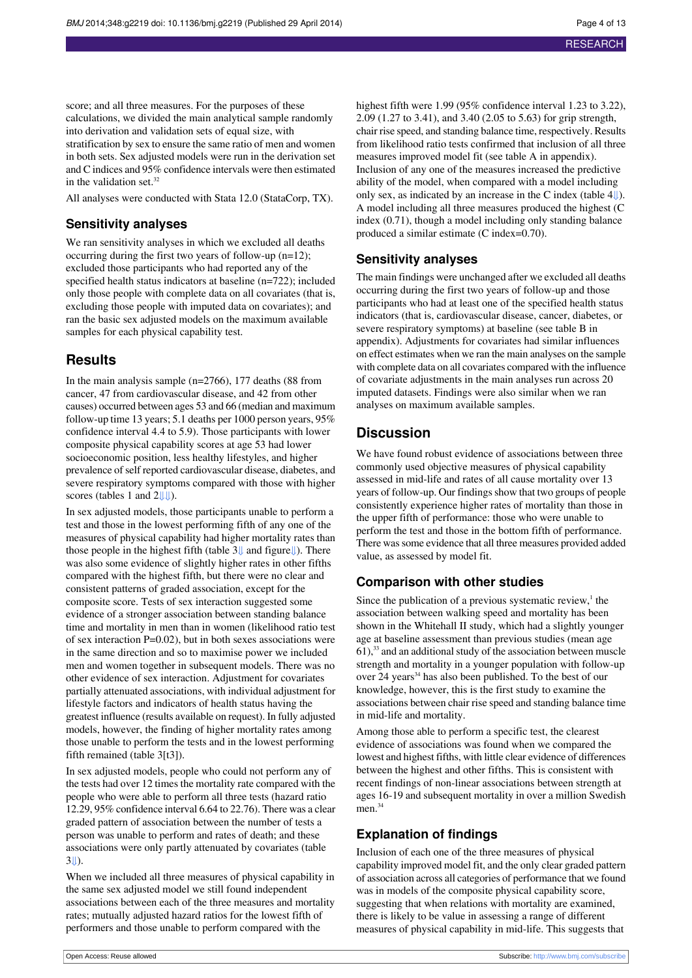score; and all three measures. For the purposes of these calculations, we divided the main analytical sample randomly into derivation and validation sets of equal size, with stratification by sex to ensure the same ratio of men and women in both sets. Sex adjusted models were run in the derivation set and C indices and 95% confidence intervals were then estimated in the validation set. $32$ 

All analyses were conducted with Stata 12.0 (StataCorp, TX).

#### **Sensitivity analyses**

We ran sensitivity analyses in which we excluded all deaths occurring during the first two years of follow-up (n=12); excluded those participants who had reported any of the specified health status indicators at baseline (n=722); included only those people with complete data on all covariates (that is, excluding those people with imputed data on covariates); and ran the basic sex adjusted models on the maximum available samples for each physical capability test.

## **Results**

In the main analysis sample (n=2766), 177 deaths (88 from cancer, 47 from cardiovascular disease, and 42 from other causes) occurred between ages 53 and 66 (median and maximum follow-up time 13 years; 5.1 deaths per 1000 person years, 95% confidence interval 4.4 to 5.9). Those participants with lower composite physical capability scores at age 53 had lower socioeconomic position, less healthy lifestyles, and higher prevalence of self reported cardiovascular disease, diabetes, and severe respiratory symptoms compared with those with higher scores (tables 1 and 2

In sex adjusted models, those participants unable to perform a test and those in the lowest performing fifth of any one of the measures of physical capability had higher mortality rates than those people in the highest fifth (table 3[⇓](#page-10-0) and figur[e⇓](#page-12-0)). There was also some evidence of slightly higher rates in other fifths compared with the highest fifth, but there were no clear and consistent patterns of graded association, except for the composite score. Tests of sex interaction suggested some evidence of a stronger association between standing balance time and mortality in men than in women (likelihood ratio test of sex interaction P=0.02), but in both sexes associations were in the same direction and so to maximise power we included men and women together in subsequent models. There was no other evidence of sex interaction. Adjustment for covariates partially attenuated associations, with individual adjustment for lifestyle factors and indicators of health status having the greatest influence (results available on request). In fully adjusted models, however, the finding of higher mortality rates among those unable to perform the tests and in the lowest performing fifth remained (table 3[t3]).

In sex adjusted models, people who could not perform any of the tests had over 12 times the mortality rate compared with the people who were able to perform all three tests (hazard ratio 12.29, 95% confidence interval 6.64 to 22.76). There was a clear graded pattern of association between the number of tests a person was unable to perform and rates of death; and these associations were only partly attenuated by covariates (table  $3$ II).

When we included all three measures of physical capability in the same sex adjusted model we still found independent associations between each of the three measures and mortality rates; mutually adjusted hazard ratios for the lowest fifth of performers and those unable to perform compared with the

highest fifth were 1.99 (95% confidence interval 1.23 to 3.22), 2.09 (1.27 to 3.41), and 3.40 (2.05 to 5.63) for grip strength, chair rise speed, and standing balance time, respectively. Results from likelihood ratio tests confirmed that inclusion of all three measures improved model fit (see table A in appendix). Inclusion of any one of the measures increased the predictive ability of the model, when compared with a model including only sex, as indicated by an increase in the C index (table 4[⇓\)](#page-11-0). A model including all three measures produced the highest (C index (0.71), though a model including only standing balance produced a similar estimate (C index=0.70).

#### **Sensitivity analyses**

The main findings were unchanged after we excluded all deaths occurring during the first two years of follow-up and those participants who had at least one of the specified health status indicators (that is, cardiovascular disease, cancer, diabetes, or severe respiratory symptoms) at baseline (see table B in appendix). Adjustments for covariates had similar influences on effect estimates when we ran the main analyses on the sample with complete data on all covariates compared with the influence of covariate adjustments in the main analyses run across 20 imputed datasets. Findings were also similar when we ran analyses on maximum available samples.

## **Discussion**

We have found robust evidence of associations between three commonly used objective measures of physical capability assessed in mid-life and rates of all cause mortality over 13 years of follow-up. Our findings show that two groups of people consistently experience higher rates of mortality than those in the upper fifth of performance: those who were unable to perform the test and those in the bottom fifth of performance. There was some evidence that all three measures provided added value, as assessed by model fit.

#### **Comparison with other studies**

Since the publication of a previous systematic review, $<sup>1</sup>$  the</sup> association between walking speed and mortality has been shown in the Whitehall II study, which had a slightly younger age at baseline assessment than previous studies (mean age  $61$ ,<sup>33</sup> and an additional study of the association between muscle strength and mortality in a younger population with follow-up over 24 years<sup>34</sup> has also been published. To the best of our knowledge, however, this is the first study to examine the associations between chair rise speed and standing balance time in mid-life and mortality.

Among those able to perform a specific test, the clearest evidence of associations was found when we compared the lowest and highest fifths, with little clear evidence of differences between the highest and other fifths. This is consistent with recent findings of non-linear associations between strength at ages 16-19 and subsequent mortality in over a million Swedish men.<sup>34</sup>

### **Explanation of findings**

Inclusion of each one of the three measures of physical capability improved model fit, and the only clear graded pattern of association across all categories of performance that we found was in models of the composite physical capability score, suggesting that when relations with mortality are examined, there is likely to be value in assessing a range of different measures of physical capability in mid-life. This suggests that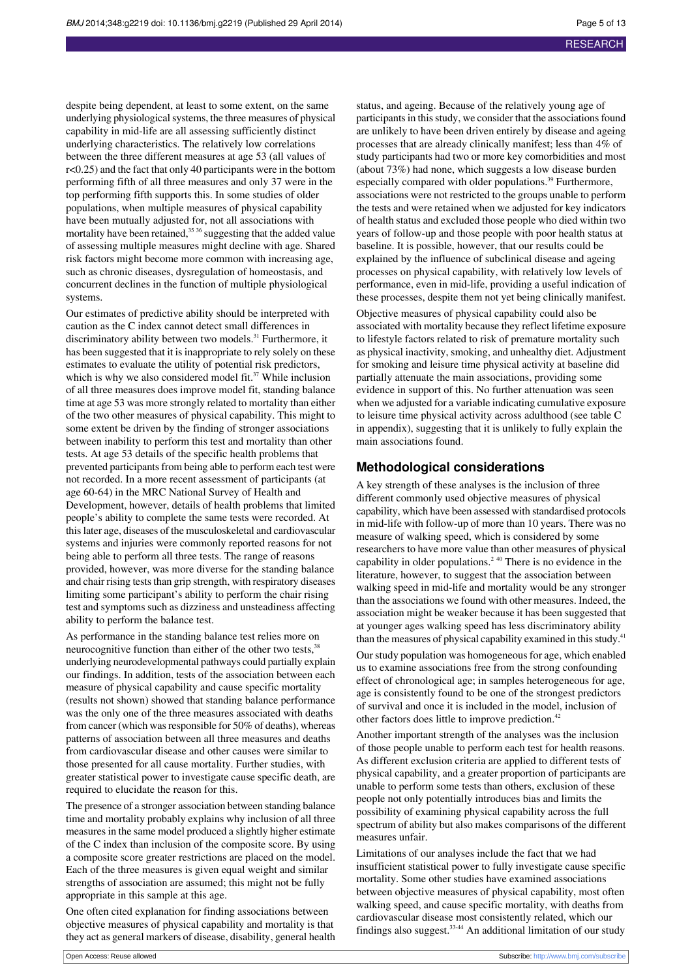despite being dependent, at least to some extent, on the same underlying physiological systems, the three measures of physical capability in mid-life are all assessing sufficiently distinct underlying characteristics. The relatively low correlations between the three different measures at age 53 (all values of r<0.25) and the fact that only 40 participants were in the bottom performing fifth of all three measures and only 37 were in the top performing fifth supports this. In some studies of older populations, when multiple measures of physical capability have been mutually adjusted for, not all associations with mortality have been retained,<sup>35</sup> suggesting that the added value of assessing multiple measures might decline with age. Shared risk factors might become more common with increasing age, such as chronic diseases, dysregulation of homeostasis, and concurrent declines in the function of multiple physiological systems.

Our estimates of predictive ability should be interpreted with caution as the C index cannot detect small differences in discriminatory ability between two models.<sup>31</sup> Furthermore, it has been suggested that it is inappropriate to rely solely on these estimates to evaluate the utility of potential risk predictors, which is why we also considered model fit. $37$  While inclusion of all three measures does improve model fit, standing balance time at age 53 was more strongly related to mortality than either of the two other measures of physical capability. This might to some extent be driven by the finding of stronger associations between inability to perform this test and mortality than other tests. At age 53 details of the specific health problems that prevented participants from being able to perform each test were not recorded. In a more recent assessment of participants (at age 60-64) in the MRC National Survey of Health and Development, however, details of health problems that limited people's ability to complete the same tests were recorded. At thislater age, diseases of the musculoskeletal and cardiovascular systems and injuries were commonly reported reasons for not being able to perform all three tests. The range of reasons provided, however, was more diverse for the standing balance and chair rising tests than grip strength, with respiratory diseases limiting some participant's ability to perform the chair rising test and symptoms such as dizziness and unsteadiness affecting ability to perform the balance test.

As performance in the standing balance test relies more on neurocognitive function than either of the other two tests,<sup>38</sup> underlying neurodevelopmental pathways could partially explain our findings. In addition, tests of the association between each measure of physical capability and cause specific mortality (results not shown) showed that standing balance performance was the only one of the three measures associated with deaths from cancer (which was responsible for 50% of deaths), whereas patterns of association between all three measures and deaths from cardiovascular disease and other causes were similar to those presented for all cause mortality. Further studies, with greater statistical power to investigate cause specific death, are required to elucidate the reason for this.

The presence of a stronger association between standing balance time and mortality probably explains why inclusion of all three measures in the same model produced a slightly higher estimate of the C index than inclusion of the composite score. By using a composite score greater restrictions are placed on the model. Each of the three measures is given equal weight and similar strengths of association are assumed; this might not be fully appropriate in this sample at this age.

One often cited explanation for finding associations between objective measures of physical capability and mortality is that they act as general markers of disease, disability, general health

status, and ageing. Because of the relatively young age of participants in this study, we consider that the associations found are unlikely to have been driven entirely by disease and ageing processes that are already clinically manifest; less than 4% of study participants had two or more key comorbidities and most (about 73%) had none, which suggests a low disease burden especially compared with older populations.<sup>39</sup> Furthermore, associations were not restricted to the groups unable to perform the tests and were retained when we adjusted for key indicators of health status and excluded those people who died within two years of follow-up and those people with poor health status at baseline. It is possible, however, that our results could be explained by the influence of subclinical disease and ageing processes on physical capability, with relatively low levels of performance, even in mid-life, providing a useful indication of these processes, despite them not yet being clinically manifest.

Objective measures of physical capability could also be associated with mortality because they reflect lifetime exposure to lifestyle factors related to risk of premature mortality such as physical inactivity, smoking, and unhealthy diet. Adjustment for smoking and leisure time physical activity at baseline did partially attenuate the main associations, providing some evidence in support of this. No further attenuation was seen when we adjusted for a variable indicating cumulative exposure to leisure time physical activity across adulthood (see table C in appendix), suggesting that it is unlikely to fully explain the main associations found.

#### **Methodological considerations**

A key strength of these analyses is the inclusion of three different commonly used objective measures of physical capability, which have been assessed with standardised protocols in mid-life with follow-up of more than 10 years. There was no measure of walking speed, which is considered by some researchers to have more value than other measures of physical capability in older populations.<sup>2 40</sup> There is no evidence in the literature, however, to suggest that the association between walking speed in mid-life and mortality would be any stronger than the associations we found with other measures. Indeed, the association might be weaker because it has been suggested that at younger ages walking speed has less discriminatory ability than the measures of physical capability examined in this study.

Our study population was homogeneous for age, which enabled us to examine associations free from the strong confounding effect of chronological age; in samples heterogeneous for age, age is consistently found to be one of the strongest predictors of survival and once it is included in the model, inclusion of other factors does little to improve prediction.<sup>42</sup>

Another important strength of the analyses was the inclusion of those people unable to perform each test for health reasons. As different exclusion criteria are applied to different tests of physical capability, and a greater proportion of participants are unable to perform some tests than others, exclusion of these people not only potentially introduces bias and limits the possibility of examining physical capability across the full spectrum of ability but also makes comparisons of the different measures unfair.

Limitations of our analyses include the fact that we had insufficient statistical power to fully investigate cause specific mortality. Some other studies have examined associations between objective measures of physical capability, most often walking speed, and cause specific mortality, with deaths from cardiovascular disease most consistently related, which our findings also suggest.33-44 An additional limitation of our study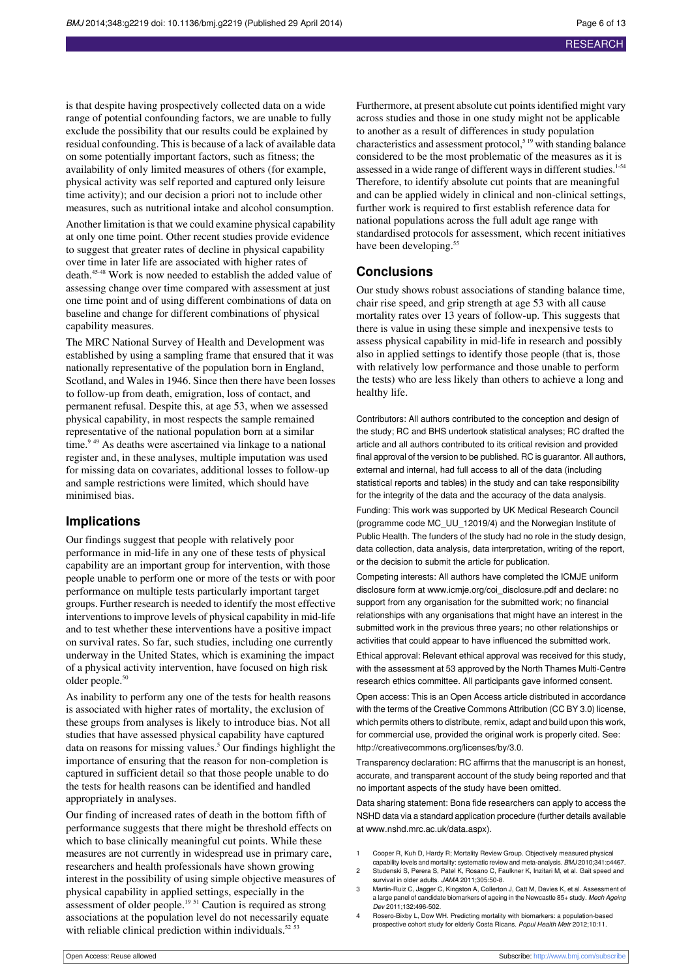is that despite having prospectively collected data on a wide range of potential confounding factors, we are unable to fully exclude the possibility that our results could be explained by residual confounding. This is because of a lack of available data on some potentially important factors, such as fitness; the availability of only limited measures of others (for example, physical activity was self reported and captured only leisure time activity); and our decision a priori not to include other measures, such as nutritional intake and alcohol consumption. Another limitation is that we could examine physical capability at only one time point. Other recent studies provide evidence to suggest that greater rates of decline in physical capability over time in later life are associated with higher rates of death.<sup>45-48</sup> Work is now needed to establish the added value of assessing change over time compared with assessment at just one time point and of using different combinations of data on baseline and change for different combinations of physical capability measures.

The MRC National Survey of Health and Development was established by using a sampling frame that ensured that it was nationally representative of the population born in England, Scotland, and Wales in 1946. Since then there have been losses to follow-up from death, emigration, loss of contact, and permanent refusal. Despite this, at age 53, when we assessed physical capability, in most respects the sample remained representative of the national population born at a similar time.<sup>9 49</sup> As deaths were ascertained via linkage to a national register and, in these analyses, multiple imputation was used for missing data on covariates, additional losses to follow-up and sample restrictions were limited, which should have minimised bias.

#### **Implications**

Our findings suggest that people with relatively poor performance in mid-life in any one of these tests of physical capability are an important group for intervention, with those people unable to perform one or more of the tests or with poor performance on multiple tests particularly important target groups. Further research is needed to identify the most effective interventionsto improve levels of physical capability in mid-life and to test whether these interventions have a positive impact on survival rates. So far, such studies, including one currently underway in the United States, which is examining the impact of a physical activity intervention, have focused on high risk older people.<sup>50</sup>

As inability to perform any one of the tests for health reasons is associated with higher rates of mortality, the exclusion of these groups from analyses is likely to introduce bias. Not all studies that have assessed physical capability have captured data on reasons for missing values.<sup>5</sup> Our findings highlight the importance of ensuring that the reason for non-completion is captured in sufficient detail so that those people unable to do the tests for health reasons can be identified and handled appropriately in analyses.

Our finding of increased rates of death in the bottom fifth of performance suggests that there might be threshold effects on which to base clinically meaningful cut points. While these measures are not currently in widespread use in primary care, researchers and health professionals have shown growing interest in the possibility of using simple objective measures of physical capability in applied settings, especially in the assessment of older people.<sup>19 51</sup> Caution is required as strong associations at the population level do not necessarily equate with reliable clinical prediction within individuals.<sup>52 53</sup>

Furthermore, at present absolute cut points identified might vary across studies and those in one study might not be applicable to another as a result of differences in study population characteristics and assessment protocol, $519$  with standing balance considered to be the most problematic of the measures as it is assessed in a wide range of different ways in different studies.<sup>1-54</sup> Therefore, to identify absolute cut points that are meaningful and can be applied widely in clinical and non-clinical settings, further work is required to first establish reference data for national populations across the full adult age range with standardised protocols for assessment, which recent initiatives have been developing.<sup>55</sup>

#### **Conclusions**

Our study shows robust associations of standing balance time, chair rise speed, and grip strength at age 53 with all cause mortality rates over 13 years of follow-up. This suggests that there is value in using these simple and inexpensive tests to assess physical capability in mid-life in research and possibly also in applied settings to identify those people (that is, those with relatively low performance and those unable to perform the tests) who are less likely than others to achieve a long and healthy life.

Contributors: All authors contributed to the conception and design of the study; RC and BHS undertook statistical analyses; RC drafted the article and all authors contributed to its critical revision and provided final approval of the version to be published. RC is guarantor. All authors, external and internal, had full access to all of the data (including statistical reports and tables) in the study and can take responsibility for the integrity of the data and the accuracy of the data analysis. Funding: This work was supported by UK Medical Research Council (programme code MC\_UU\_12019/4) and the Norwegian Institute of Public Health. The funders of the study had no role in the study design, data collection, data analysis, data interpretation, writing of the report, or the decision to submit the article for publication.

Competing interests: All authors have completed the ICMJE uniform disclosure form at [www.icmje.org/coi\\_disclosure.pdf](http://www.icmje.org/coi_disclosure.pdf) and declare: no support from any organisation for the submitted work; no financial relationships with any organisations that might have an interest in the submitted work in the previous three years; no other relationships or activities that could appear to have influenced the submitted work.

Ethical approval: Relevant ethical approval was received for this study, with the assessment at 53 approved by the North Thames Multi-Centre research ethics committee. All participants gave informed consent.

Open access: This is an Open Access article distributed in accordance with the terms of the Creative Commons Attribution (CC BY 3.0) license, which permits others to distribute, remix, adapt and build upon this work, for commercial use, provided the original work is properly cited. See: [http://creativecommons.org/licenses/by/3.0.](http://creativecommons.org/licenses/by/3.0)

Transparency declaration: RC affirms that the manuscript is an honest, accurate, and transparent account of the study being reported and that no important aspects of the study have been omitted.

Data sharing statement: Bona fide researchers can apply to access the NSHD data via a standard application procedure (further details available at [www.nshd.mrc.ac.uk/data.aspx\)](http://www.nshd.mrc.ac.uk/data.aspx).

- 1 Cooper R, Kuh D, Hardy R; Mortality Review Group. Objectively measured physical
- capability levels and mortality: systematic review and meta-analysis. BMJ 2010;341:c4467.<br>Studenski S, Perera S, Patel K, Rosano C, Faulkner K, Inzitari M, et al. Gait speed and survival in older adults. JAMA 2011;305:50-8.
- 3 Martin-Ruiz C, Jagger C, Kingston A, Collerton J, Catt M, Davies K, et al. Assessment of a large panel of candidate biomarkers of ageing in the Newcastle 85+ study. Mech Ageing Dev 2011;132:496-502.
- 4 Rosero-Bixby L, Dow WH. Predicting mortality with biomarkers: a population-based prospective cohort study for elderly Costa Ricans. Popul Health Metr 2012;10:11.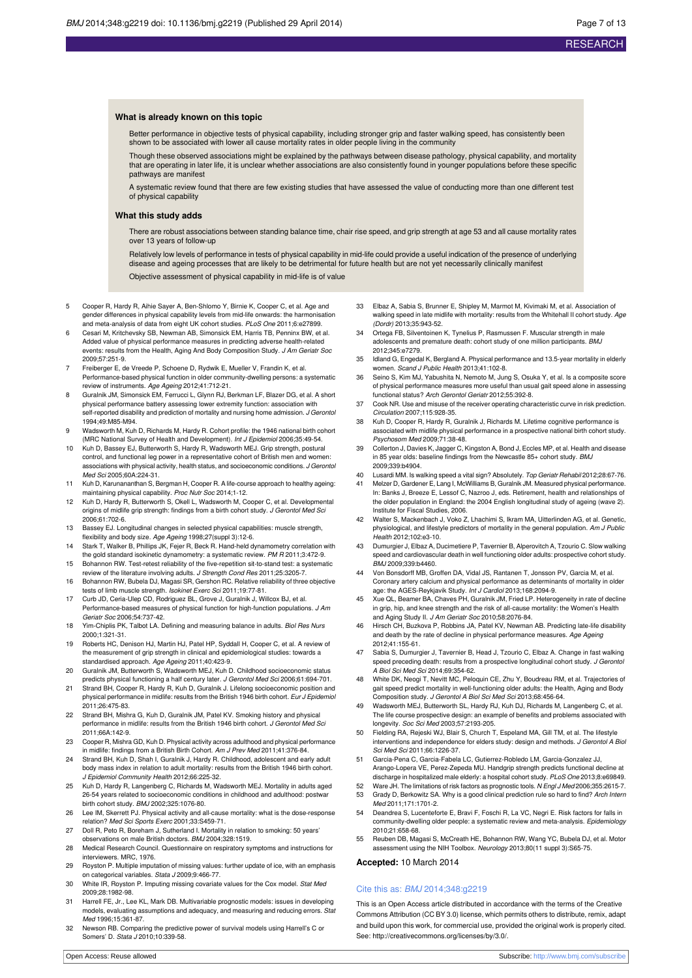#### **What is already known on this topic**

Better performance in objective tests of physical capability, including stronger grip and faster walking speed, has consistently been shown to be associated with lower all cause mortality rates in older people living in the community

Though these observed associations might be explained by the pathways between disease pathology, physical capability, and mortality that are operating in later life, it is unclear whether associations are also consistently found in younger populations before these specific pathways are manifest

systematic review found that there are few existing studies that have assessed the value of conducting more than one different test of physical capability

#### **What this study adds**

There are robust associations between standing balance time, chair rise speed, and grip strength at age 53 and all cause mortality rates over 13 years of follow-up

Relatively low levels of performance in tests of physical capability in mid-life could provide a useful indication of the presence of underlying disease and ageing processes that are likely to be detrimental for future health but are not yet necessarily clinically manifest

Objective assessment of physical capability in mid-life is of value

- 5 Cooper R, Hardy R, Aihie Sayer A, Ben-Shlomo Y, Birnie K, Cooper C, et al. Age and gender differences in physical capability levels from mid-life onwards: the harmonisation and meta-analysis of data from eight UK cohort studies. PLoS One 2011;6:e27899.
- 6 Cesari M, Kritchevsky SB, Newman AB, Simonsick EM, Harris TB, Penninx BW, et al. Added value of physical performance measures in predicting adverse health-related events: results from the Health, Aging And Body Composition Study. J Am Geriatr Soc
- 2009;57:251-9. 7 Freiberger E, de Vreede P, Schoene D, Rydwik E, Mueller V, Frandin K, et al. Performance-based physical function in older community-dwelling persons: a systematic
- review of instruments. Age Ageing 2012;41:712-21. 8 Guralnik JM, Simonsick EM, Ferrucci L, Glynn RJ, Berkman LF, Blazer DG, et al. A short physical performance battery assessing lower extremity function: association with self-reported disability and prediction of mortality and nursing home admission. J Gerontol 1994;49:M85-M94.
- Wadsworth M, Kuh D, Richards M, Hardy R. Cohort profile: the 1946 national birth cohort (MRC National Survey of Health and Development). Int J Epidemiol 2006;35:49-54.
- 10 Kuh D, Bassey EJ, Butterworth S, Hardy R, Wadsworth MEJ. Grip strength, postural control, and functional leg power in a representative cohort of British men and women: associations with physical activity, health status, and socioeconomic conditions. J Gerontol Med Sci 2005;60A:224-31.
- 11 Kuh D, Karunananthan S, Bergman H, Cooper R. A life-course approach to healthy ageing: maintaining physical capability. Proc Nutr Soc 2014;1-12.
- 12 Kuh D, Hardy R, Butterworth S, Okell L, Wadsworth M, Cooper C, et al. Developmental origins of midlife grip strength: findings from a birth cohort study. J Gerontol Med Sci 2006;61:702-6.
- 13 Bassey EJ. Longitudinal changes in selected physical capabilities: muscle strength, flexibility and body size. Age Ageing 1998;27(suppl 3):12-6.
- 14 Stark T, Walker B, Phillips JK, Fejer R, Beck R. Hand-held dynamometry correlation with the gold standard isokinetic dynamometry: a systematic review. PM R 2011;3:472-9.
- 15 Bohannon RW. Test-retest reliability of the five-repetition sit-to-stand test: a systematic review of the literature involving adults. J Strength Cond Res 2011;25:3205-7.
- 16 Bohannon RW, Bubela DJ, Magasi SR, Gershon RC. Relative reliability of three objective tests of limb muscle strength. Isokinet Exerc Sci 2011;19:77-81.
- 17 Curb JD, Ceria-Ulep CD, Rodriguez BL, Grove J, Guralnik J, Willcox BJ, et al. Performance-based measures of physical function for high-function populations. J Am Geriatr Soc 2006;54:737-42.
- 18 Yim-Chiplis PK, Talbot LA. Defining and measuring balance in adults. Biol Res Nurs 2000;1:321-31.
- 19 Roberts HC, Denison HJ, Martin HJ, Patel HP, Syddall H, Cooper C, et al. A review of the measurement of grip strength in clinical and epidemiological studies: towards a standardised approach. Age Ageing 2011;40:423-9.
- 20 Guralnik JM, Butterworth S, Wadsworth MEJ, Kuh D. Childhood socioeconomic status predicts physical functioning a half century later. J Gerontol Med Sci 2006;61:694-701.
- 21 Strand BH, Cooper R, Hardy R, Kuh D, Guralnik J. Lifelong socioeconomic position and physical performance in midlife: results from the British 1946 birth cohort. Eur J Epidemiol 2011;26:475-83.
- 22 Strand BH, Mishra G, Kuh D, Guralnik JM, Patel KV. Smoking history and physical performance in midlife: results from the British 1946 birth cohort. J Gerontol Med Sci 2011;66A:142-9.
- 23 Cooper R, Mishra GD, Kuh D. Physical activity across adulthood and physical performance in midlife: findings from a British Birth Cohort. Am J Prev Med 2011;41:376-84.
- 24 Strand BH, Kuh D, Shah I, Guralnik J, Hardy R. Childhood, adolescent and early adult body mass index in relation to adult mortality: results from the British 1946 birth cohort. J Epidemiol Community Health 2012;66:225-32.
- 25 Kuh D, Hardy R, Langenberg C, Richards M, Wadsworth MEJ. Mortality in adults aged 26-54 years related to socioeconomic conditions in childhood and adulthood: postwar
- birth cohort study. BMJ 2002;325:1076-80. 26 Lee IM, Skerrett PJ. Physical activity and all-cause mortality: what is the dose-response relation? Med Sci Sports Exerc 2001;33:S459-71.
- 27 Doll R, Peto R, Boreham J, Sutherland I. Mortality in relation to smoking: 50 years' observations on male British doctors. BMJ 2004;328:1519.
- 28 Medical Research Council. Questionnaire on respiratory symptoms and instructions for interviewers. MRC, 1976.
- 29 Royston P. Multiple imputation of missing values: further update of ice, with an emphasis on categorical variables. Stata J 2009;9:466-77.
- 30 White IR, Royston P. Imputing missing covariate values for the Cox model. Stat Med 2009;28:1982-98.
- 31 Harrell FE, Jr., Lee KL, Mark DB. Multivariable prognostic models: issues in developing models, evaluating assumptions and adequacy, and measuring and reducing errors. Stat Med 1996;15:361-87.
- 32 Newson RB. Comparing the predictive power of survival models using Harrell's C or Somers' D. Stata J 2010;10:339-58.
- 33 Elbaz A, Sabia S, Brunner E, Shipley M, Marmot M, Kivimaki M, et al. Association of walking speed in late midlife with mortality: results from the Whitehall II cohort study. Age (Dordr) 2013;35:943-52.
- 34 Ortega FB, Silventoinen K, Tynelius P, Rasmussen F. Muscular strength in male adolescents and premature death: cohort study of one million participants. BMJ 2012;345:e7279.
- 35 Idland G, Engedal K, Bergland A. Physical performance and 13.5-year mortality in elderly women. Scand J Public Health 2013;41:102-8.
- 36 Seino S, Kim MJ, Yabushita N, Nemoto M, Jung S, Osuka Y, et al. Is a composite score of physical performance measures more useful than usual gait speed alone in assessing functional status? Arch Gerontol Geriatr 2012;55:392-8.
- 37 Cook NR. Use and misuse of the receiver operating characteristic curve in risk prediction. Circulation 2007;115:928-35.
- 38 Kuh D, Cooper R, Hardy R, Guralnik J, Richards M. Lifetime cognitive performance is associated with midlife physical performance in a prospective national birth cohort study. Psychosom Med 2009;71:38-48.
- 39 Collerton J, Davies K, Jagger C, Kingston A, Bond J, Eccles MP, et al. Health and disease in 85 year olds: baseline findings from the Newcastle 85+ cohort study. BMJ 2009;339:b4904.
- 
- 40 Lusardi MM. Is walking speed a vital sign? Absolutely. *Top Geriatr Rehabil* 2012;28:67-76.<br>41 Melzer D, Gardener E, Lang I, McWilliams B, Guralnik JM. Measured physical performance. In: Banks J, Breeze E, Lessof C, Nazroo J, eds. Retirement, health and relationships of the older population in England: the 2004 English longitudinal study of ageing (wave 2). Institute for Fiscal Studies, 2006.
- 42 Walter S, Mackenbach J, Voko Z, Lhachimi S, Ikram MA, Uitterlinden AG, et al. Genetic, physiological, and lifestyle predictors of mortality in the general population. Am J Public .<br>Health 2012;102:e3-10.
- 43 Dumurgier J, Elbaz A, Ducimetiere P, Tavernier B, Alperovitch A, Tzourio C. Slow walking speed and cardiovascular death in well functioning older adults: prospective cohort study. BMJ 2009;339:b4460.
- 44 Von Bonsdorff MB, Groffen DA, Vidal JS, Rantanen T, Jonsson PV, Garcia M, et al. Coronary artery calcium and physical performance as determinants of mortality in older age: the AGES-Reykjavik Study. Int J Cardiol 2013;168:2094-9.
- 45 Xue QL, Beamer BA, Chaves PH, Guralnik JM, Fried LP. Heterogeneity in rate of decline in grip, hip, and knee strength and the risk of all-cause mortality: the Women's Health and Aging Study II. J Am Geriatr Soc 2010;58:2076-84.
- 46 Hirsch CH, Buzkova P, Robbins JA, Patel KV, Newman AB. Predicting late-life disability and death by the rate of decline in physical performance measures. Age Ageing 2012;41:155-61.
- 47 Sabia S, Dumurgier J, Tavernier B, Head J, Tzourio C, Elbaz A. Change in fast walking speed preceding death: results from a prospective longitudinal cohort study. J Gerontol A Biol Sci Med Sci 2014;69:354-62.
- 48 White DK, Neogi T, Nevitt MC, Peloquin CE, Zhu Y, Boudreau RM, et al. Trajectories of gait speed predict mortality in well-functioning older adults: the Health, Aging and Body Composition study. J Gerontol A Biol Sci Med Sci 2013;68:456-64.
- 49 Wadsworth MEJ, Butterworth SL, Hardy RJ, Kuh DJ, Richards M, Langenberg C, et al. The life course prospective design: an example of benefits and problems associated with longevity. Soc Sci Med 2003;57:2193-205.
- 50 Fielding RA, Rejeski WJ, Blair S, Church T, Espeland MA, Gill TM, et al. The lifestyle interventions and independence for elders study: design and methods. J Gerontol A Biol Sci Med Sci 2011;66:1226-37.
- 51 Garcia-Pena C, Garcia-Fabela LC, Gutierrez-Robledo LM, Garcia-Gonzalez JJ, Arango-Lopera VE, Perez-Zepeda MU. Handgrip strength predicts functional decline at discharge in hospitalized male elderly: a hospital cohort study. PLoS One 2013;8:e69849.
- Ware JH. The limitations of risk factors as prognostic tools. N Engl J Med 2006;355:2615-7. Grady D, Berkowitz SA. Why is a good clinical prediction rule so hard to find? Arch Inte
- Med 2011;171:1701-2. 54 Deandrea S, Lucenteforte E, Bravi F, Foschi R, La VC, Negri E. Risk factors for falls in
- community-dwelling older people: a systematic review and meta-analysis. Epidemiology 2010;21:658-68.
- 55 Reuben DB, Magasi S, McCreath HE, Bohannon RW, Wang YC, Bubela DJ, et al. Motor assessment using the NIH Toolbox. Neurology 2013;80(11 suppl 3):S65-75.

#### **Accepted:** 10 March 2014

#### Cite this as: BMJ 2014;348:g2219

This is an Open Access article distributed in accordance with the terms of the Creative Commons Attribution (CC BY 3.0) license, which permits others to distribute, remix, adapt and build upon this work, for commercial use, provided the original work is properly cited. See: <http://creativecommons.org/licenses/by/3.0/>.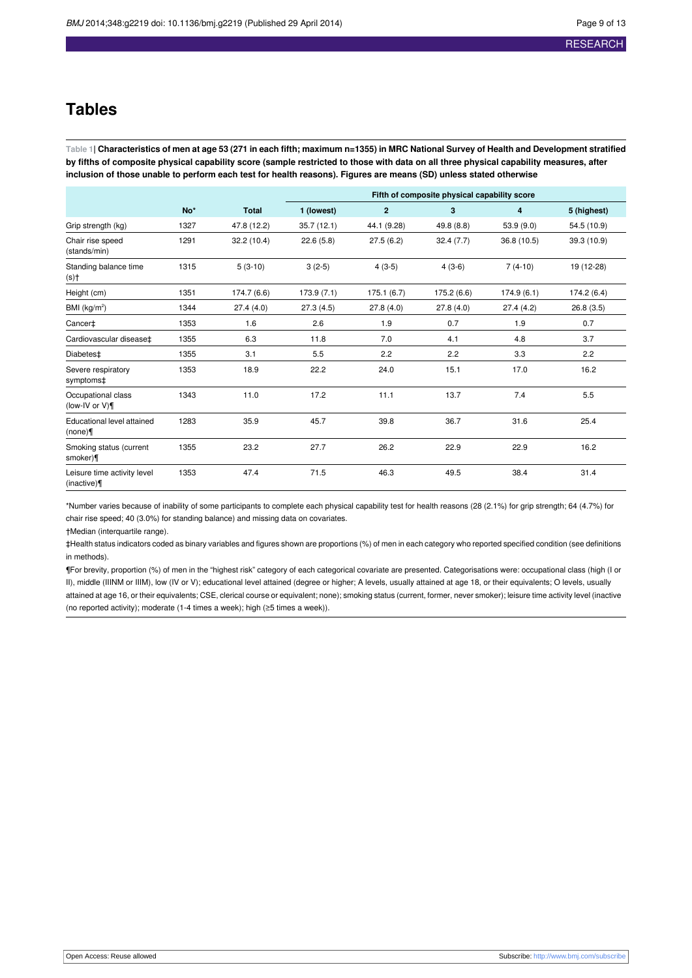## **Tables**

<span id="page-8-0"></span>Table 1| Characteristics of men at age 53 (271 in each fifth; maximum n=1355) in MRC National Survey of Health and Development stratified by fifths of composite physical capability score (sample restricted to those with data on all three physical capability measures, after inclusion of those unable to perform each test for health reasons). Figures are means (SD) unless stated otherwise

|                                            |      |              | Fifth of composite physical capability score |              |             |             |             |  |
|--------------------------------------------|------|--------------|----------------------------------------------|--------------|-------------|-------------|-------------|--|
|                                            | No*  | <b>Total</b> | 1 (lowest)                                   | $\mathbf{2}$ | 3           | 4           | 5 (highest) |  |
| Grip strength (kg)                         | 1327 | 47.8 (12.2)  | 35.7(12.1)                                   | 44.1 (9.28)  | 49.8 (8.8)  | 53.9 (9.0)  | 54.5 (10.9) |  |
| Chair rise speed<br>(stands/min)           | 1291 | 32.2 (10.4)  | 22.6(5.8)                                    | 27.5(6.2)    | 32.4(7.7)   | 36.8 (10.5) | 39.3 (10.9) |  |
| Standing balance time<br>(s)†              | 1315 | $5(3-10)$    | $3(2-5)$                                     | $4(3-5)$     | $4(3-6)$    | $7(4-10)$   | 19 (12-28)  |  |
| Height (cm)                                | 1351 | 174.7 (6.6)  | 173.9 (7.1)                                  | 175.1(6.7)   | 175.2 (6.6) | 174.9(6.1)  | 174.2 (6.4) |  |
| BMI (kg/m <sup>2</sup> )                   | 1344 | 27.4(4.0)    | 27.3(4.5)                                    | 27.8(4.0)    | 27.8(4.0)   | 27.4(4.2)   | 26.8(3.5)   |  |
| Cancer <sup>+</sup>                        | 1353 | 1.6          | 2.6                                          | 1.9          | 0.7         | 1.9         | 0.7         |  |
| Cardiovascular disease‡                    | 1355 | 6.3          | 11.8                                         | 7.0          | 4.1         | 4.8         | 3.7         |  |
| Diabetes <sup>±</sup>                      | 1355 | 3.1          | 5.5                                          | 2.2          | 2.2         | 3.3         | 2.2         |  |
| Severe respiratory<br>symptoms‡            | 1353 | 18.9         | 22.2                                         | 24.0         | 15.1        | 17.0        | 16.2        |  |
| Occupational class<br>(low-IV or $V$ )     | 1343 | 11.0         | 17.2                                         | 11.1         | 13.7        | 7.4         | 5.5         |  |
| Educational level attained<br>(none)       | 1283 | 35.9         | 45.7                                         | 39.8         | 36.7        | 31.6        | 25.4        |  |
| Smoking status (current<br>smoker)¶        | 1355 | 23.2         | 27.7                                         | 26.2         | 22.9        | 22.9        | 16.2        |  |
| Leisure time activity level<br>(inactive)¶ | 1353 | 47.4         | 71.5                                         | 46.3         | 49.5        | 38.4        | 31.4        |  |

\*Number varies because of inability of some participants to complete each physical capability test for health reasons (28 (2.1%) for grip strength; 64 (4.7%) for chair rise speed; 40 (3.0%) for standing balance) and missing data on covariates.

†Median (interquartile range).

‡Health status indicators coded as binary variables and figures shown are proportions (%) of men in each category who reported specified condition (see definitions in methods).

¶For brevity, proportion (%) of men in the "highest risk" category of each categorical covariate are presented. Categorisations were: occupational class (high (I or II), middle (IIINM or IIIM), low (IV or V); educational level attained (degree or higher; A levels, usually attained at age 18, or their equivalents; O levels, usually attained at age 16, or their equivalents; CSE, clerical course or equivalent; none); smoking status (current, former, never smoker); leisure time activity level (inactive (no reported activity); moderate (1-4 times a week); high (≥5 times a week)).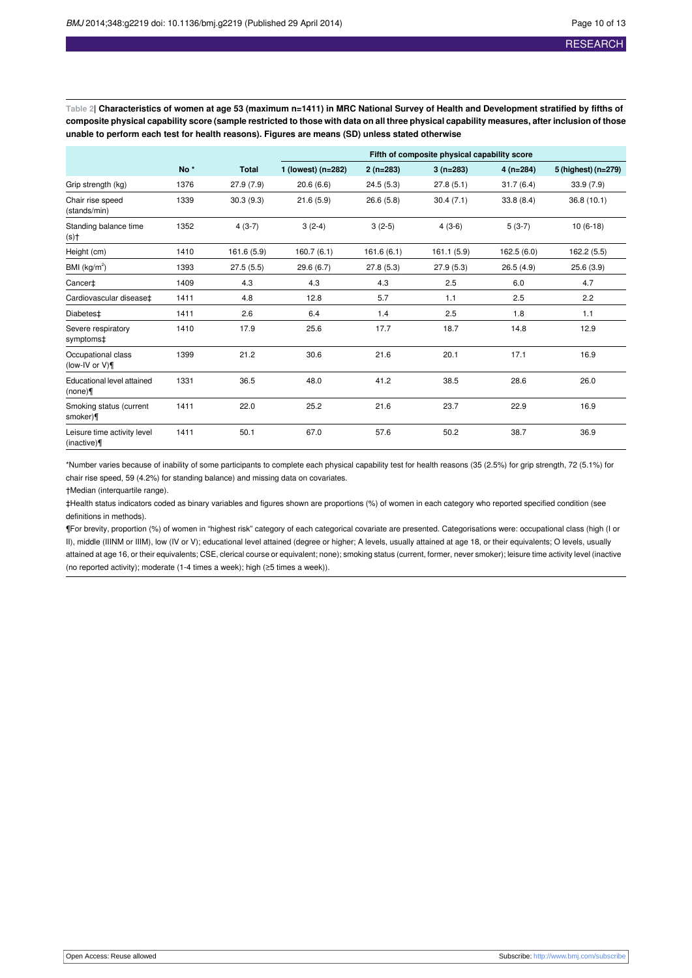<span id="page-9-0"></span>Table 2| Characteristics of women at age 53 (maximum n=1411) in MRC National Survey of Health and Development stratified by fifths of composite physical capability score (sample restricted to those with data on all three physical capability measures, after inclusion of those **unable to perform each test for health reasons). Figures are means (SD) unless stated otherwise**

|                                           |                 |              | Fifth of composite physical capability score |            |             |            |                     |  |
|-------------------------------------------|-----------------|--------------|----------------------------------------------|------------|-------------|------------|---------------------|--|
|                                           | No <sup>*</sup> | <b>Total</b> | 1 (lowest) (n=282)                           | $2(n=283)$ | $3(n=283)$  | $4(n=284)$ | 5 (highest) (n=279) |  |
| Grip strength (kg)                        | 1376            | 27.9(7.9)    | 20.6(6.6)                                    | 24.5(5.3)  | 27.8(5.1)   | 31.7(6.4)  | 33.9(7.9)           |  |
| Chair rise speed<br>(stands/min)          | 1339            | 30.3(9.3)    | 21.6(5.9)                                    | 26.6(5.8)  | 30.4(7.1)   | 33.8(8.4)  | 36.8(10.1)          |  |
| Standing balance time<br>(s)†             | 1352            | $4(3-7)$     | $3(2-4)$                                     | $3(2-5)$   | $4(3-6)$    | $5(3-7)$   | $10(6-18)$          |  |
| Height (cm)                               | 1410            | 161.6 (5.9)  | 160.7(6.1)                                   | 161.6(6.1) | 161.1 (5.9) | 162.5(6.0) | 162.2(5.5)          |  |
| BMI $(kg/m2)$                             | 1393            | 27.5(5.5)    | 29.6 (6.7)                                   | 27.8(5.3)  | 27.9(5.3)   | 26.5(4.9)  | 25.6(3.9)           |  |
| Cancer‡                                   | 1409            | 4.3          | 4.3                                          | 4.3        | 2.5         | 6.0        | 4.7                 |  |
| Cardiovascular disease‡                   | 1411            | 4.8          | 12.8                                         | 5.7        | 1.1         | 2.5        | 2.2                 |  |
| Diabetes <sup>±</sup>                     | 1411            | 2.6          | 6.4                                          | 1.4        | 2.5         | 1.8        | 1.1                 |  |
| Severe respiratory<br>symptoms‡           | 1410            | 17.9         | 25.6                                         | 17.7       | 18.7        | 14.8       | 12.9                |  |
| Occupational class<br>(low-IV or $V$ )    | 1399            | 21.2         | 30.6                                         | 21.6       | 20.1        | 17.1       | 16.9                |  |
| Educational level attained<br>(none)      | 1331            | 36.5         | 48.0                                         | 41.2       | 38.5        | 28.6       | 26.0                |  |
| Smoking status (current<br>smoker)¶       | 1411            | 22.0         | 25.2                                         | 21.6       | 23.7        | 22.9       | 16.9                |  |
| Leisure time activity level<br>(inactive) | 1411            | 50.1         | 67.0                                         | 57.6       | 50.2        | 38.7       | 36.9                |  |

\*Number varies because of inability of some participants to complete each physical capability test for health reasons (35 (2.5%) for grip strength, 72 (5.1%) for chair rise speed, 59 (4.2%) for standing balance) and missing data on covariates.

†Median (interquartile range).

‡Health status indicators coded as binary variables and figures shown are proportions (%) of women in each category who reported specified condition (see definitions in methods).

¶For brevity, proportion (%) of women in "highest risk" category of each categorical covariate are presented. Categorisations were: occupational class (high (I or II), middle (IIINM or IIIM), low (IV or V); educational level attained (degree or higher; A levels, usually attained at age 18, or their equivalents; O levels, usually attained at age 16, or their equivalents; CSE, clerical course or equivalent; none); smoking status (current, former, never smoker); leisure time activity level (inactive (no reported activity); moderate (1-4 times a week); high (≥5 times a week)).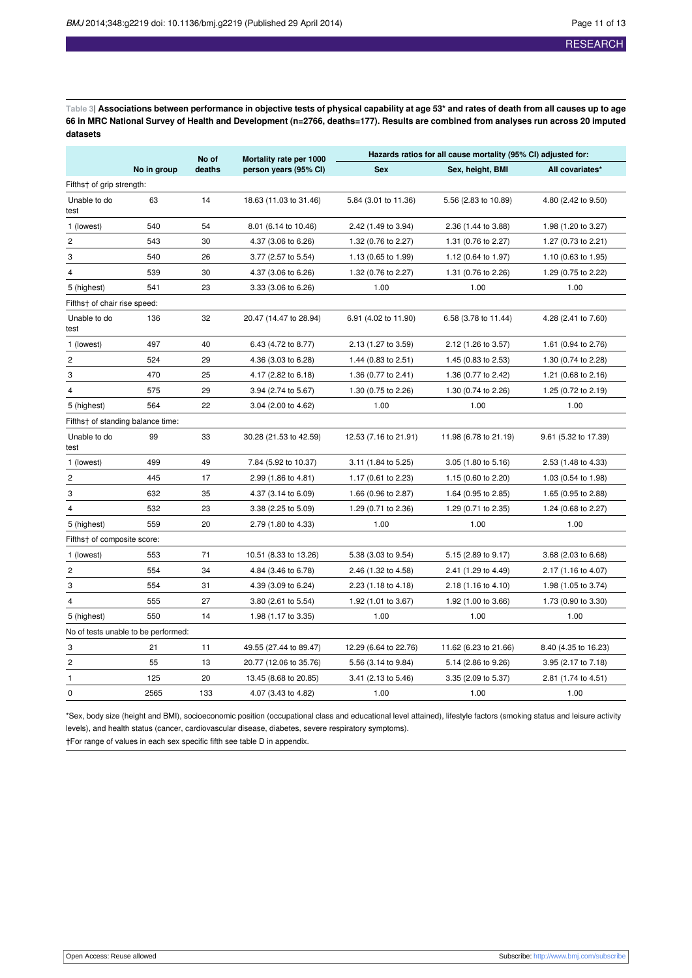<span id="page-10-0"></span>Table 3| Associations between performance in objective tests of physical capability at age 53\* and rates of death from all causes up to age 66 in MRC National Survey of Health and Development (n=2766, deaths=177). Results are combined from analyses run across 20 imputed **datasets**

|                                     |             | No of  | Mortality rate per 1000 | Hazards ratios for all cause mortality (95% CI) adjusted for: |                       |                      |  |
|-------------------------------------|-------------|--------|-------------------------|---------------------------------------------------------------|-----------------------|----------------------|--|
|                                     | No in group | deaths | person years (95% CI)   | <b>Sex</b>                                                    | Sex, height, BMI      | All covariates*      |  |
| Fifths† of grip strength:           |             |        |                         |                                                               |                       |                      |  |
| Unable to do<br>test                | 63          | 14     | 18.63 (11.03 to 31.46)  | 5.84 (3.01 to 11.36)                                          | 5.56 (2.83 to 10.89)  | 4.80 (2.42 to 9.50)  |  |
| 1 (lowest)                          | 540         | 54     | 8.01 (6.14 to 10.46)    | 2.42 (1.49 to 3.94)                                           | 2.36 (1.44 to 3.88)   | 1.98 (1.20 to 3.27)  |  |
| $\overline{c}$                      | 543         | 30     | 4.37 (3.06 to 6.26)     | 1.32 (0.76 to 2.27)                                           | 1.31 (0.76 to 2.27)   | 1.27 (0.73 to 2.21)  |  |
| 3                                   | 540         | 26     | 3.77 (2.57 to 5.54)     | 1.13 (0.65 to 1.99)                                           | 1.12 (0.64 to 1.97)   | 1.10 (0.63 to 1.95)  |  |
| $\overline{4}$                      | 539         | 30     | 4.37 (3.06 to 6.26)     | 1.32 (0.76 to 2.27)                                           | 1.31 (0.76 to 2.26)   | 1.29 (0.75 to 2.22)  |  |
| 5 (highest)                         | 541         | 23     | 3.33 (3.06 to 6.26)     | 1.00                                                          | 1.00                  | 1.00                 |  |
| Fifths† of chair rise speed:        |             |        |                         |                                                               |                       |                      |  |
| Unable to do<br>test                | 136         | 32     | 20.47 (14.47 to 28.94)  | 6.91 (4.02 to 11.90)                                          | 6.58 (3.78 to 11.44)  | 4.28 (2.41 to 7.60)  |  |
| 1 (lowest)                          | 497         | 40     | 6.43 (4.72 to 8.77)     | 2.13 (1.27 to 3.59)                                           | 2.12 (1.26 to 3.57)   | 1.61 (0.94 to 2.76)  |  |
| $\mathbf 2$                         | 524         | 29     | 4.36 (3.03 to 6.28)     | 1.44 (0.83 to 2.51)                                           | 1.45 (0.83 to 2.53)   | 1.30 (0.74 to 2.28)  |  |
| 3                                   | 470         | 25     | 4.17 (2.82 to 6.18)     | 1.36 (0.77 to 2.41)                                           | 1.36 (0.77 to 2.42)   | 1.21 (0.68 to 2.16)  |  |
| $\overline{4}$                      | 575         | 29     | 3.94 (2.74 to 5.67)     | 1.30 (0.75 to 2.26)                                           | 1.30 (0.74 to 2.26)   | 1.25 (0.72 to 2.19)  |  |
| 5 (highest)                         | 564         | 22     | 3.04 (2.00 to 4.62)     | 1.00                                                          | 1.00                  | 1.00                 |  |
| Fifths† of standing balance time:   |             |        |                         |                                                               |                       |                      |  |
| Unable to do<br>test                | 99          | 33     | 30.28 (21.53 to 42.59)  | 12.53 (7.16 to 21.91)                                         | 11.98 (6.78 to 21.19) | 9.61 (5.32 to 17.39) |  |
| 1 (lowest)                          | 499         | 49     | 7.84 (5.92 to 10.37)    | 3.11 (1.84 to 5.25)                                           | 3.05 (1.80 to 5.16)   | 2.53 (1.48 to 4.33)  |  |
| $\overline{c}$                      | 445         | 17     | 2.99 (1.86 to 4.81)     | 1.17 (0.61 to 2.23)                                           | 1.15 (0.60 to 2.20)   | 1.03 (0.54 to 1.98)  |  |
| 3                                   | 632         | 35     | 4.37 (3.14 to 6.09)     | 1.66 (0.96 to 2.87)                                           | 1.64 (0.95 to 2.85)   | 1.65 (0.95 to 2.88)  |  |
| $\overline{4}$                      | 532         | 23     | 3.38 (2.25 to 5.09)     | 1.29 (0.71 to 2.36)                                           | 1.29 (0.71 to 2.35)   | 1.24 (0.68 to 2.27)  |  |
| 5 (highest)                         | 559         | 20     | 2.79 (1.80 to 4.33)     | 1.00                                                          | 1.00                  | 1.00                 |  |
| Fifths† of composite score:         |             |        |                         |                                                               |                       |                      |  |
| 1 (lowest)                          | 553         | 71     | 10.51 (8.33 to 13.26)   | 5.38 (3.03 to 9.54)                                           | 5.15 (2.89 to 9.17)   | 3.68 (2.03 to 6.68)  |  |
| $\overline{\mathbf{c}}$             | 554         | 34     | 4.84 (3.46 to 6.78)     | 2.46 (1.32 to 4.58)                                           | 2.41 (1.29 to 4.49)   | 2.17 (1.16 to 4.07)  |  |
| 3                                   | 554         | 31     | 4.39 (3.09 to 6.24)     | 2.23 (1.18 to 4.18)                                           | 2.18 (1.16 to 4.10)   | 1.98 (1.05 to 3.74)  |  |
| 4                                   | 555         | 27     | 3.80 (2.61 to 5.54)     | 1.92 (1.01 to 3.67)                                           | 1.92 (1.00 to 3.66)   | 1.73 (0.90 to 3.30)  |  |
| 5 (highest)                         | 550         | 14     | 1.98 (1.17 to 3.35)     | 1.00                                                          | 1.00                  | 1.00                 |  |
| No of tests unable to be performed: |             |        |                         |                                                               |                       |                      |  |
| 3                                   | 21          | 11     | 49.55 (27.44 to 89.47)  | 12.29 (6.64 to 22.76)                                         | 11.62 (6.23 to 21.66) | 8.40 (4.35 to 16.23) |  |
| $\overline{c}$                      | 55          | 13     | 20.77 (12.06 to 35.76)  | 5.56 (3.14 to 9.84)                                           | 5.14 (2.86 to 9.26)   | 3.95 (2.17 to 7.18)  |  |
| 1                                   | 125         | 20     | 13.45 (8.68 to 20.85)   | 3.41 (2.13 to 5.46)                                           | 3.35 (2.09 to 5.37)   | 2.81 (1.74 to 4.51)  |  |
| 0                                   | 2565        | 133    | 4.07 (3.43 to 4.82)     | 1.00                                                          | 1.00                  | 1.00                 |  |

\*Sex, body size (height and BMI), socioeconomic position (occupational class and educational level attained), lifestyle factors (smoking status and leisure activity levels), and health status (cancer, cardiovascular disease, diabetes, severe respiratory symptoms).

†For range of values in each sex specific fifth see table D in appendix.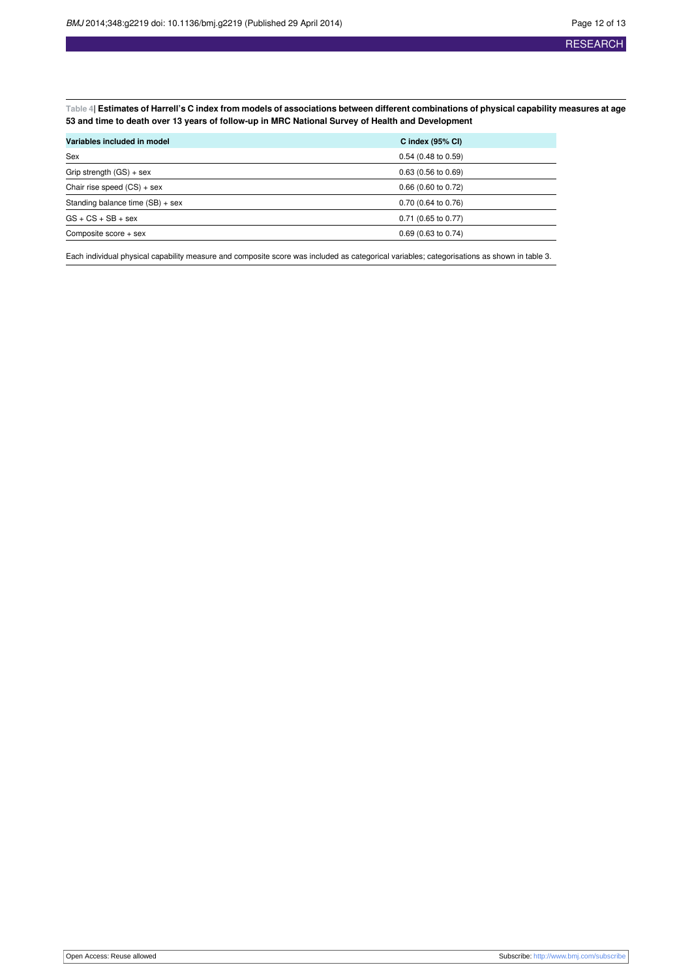<span id="page-11-0"></span>Table 4| Estimates of Harrell's C index from models of associations between different combinations of physical capability measures at age **53 and time to death over 13 years of follow-up in MRC National Survey of Health and Development**

| Variables included in model        | C index $(95% \text{ Cl})$ |  |  |  |
|------------------------------------|----------------------------|--|--|--|
| Sex                                | $0.54$ (0.48 to 0.59)      |  |  |  |
| Grip strength $(GS) + sex$         | $0.63$ (0.56 to 0.69)      |  |  |  |
| Chair rise speed $(CS) +$ sex      | $0.66$ (0.60 to 0.72)      |  |  |  |
| Standing balance time $(SB) + sex$ | 0.70 (0.64 to 0.76)        |  |  |  |
| $GS + CS + SB + sex$               | $0.71$ (0.65 to 0.77)      |  |  |  |
| Composite score + sex              | $0.69$ (0.63 to 0.74)      |  |  |  |
|                                    |                            |  |  |  |

Each individual physical capability measure and composite score was included as categorical variables; categorisations as shown in table 3.